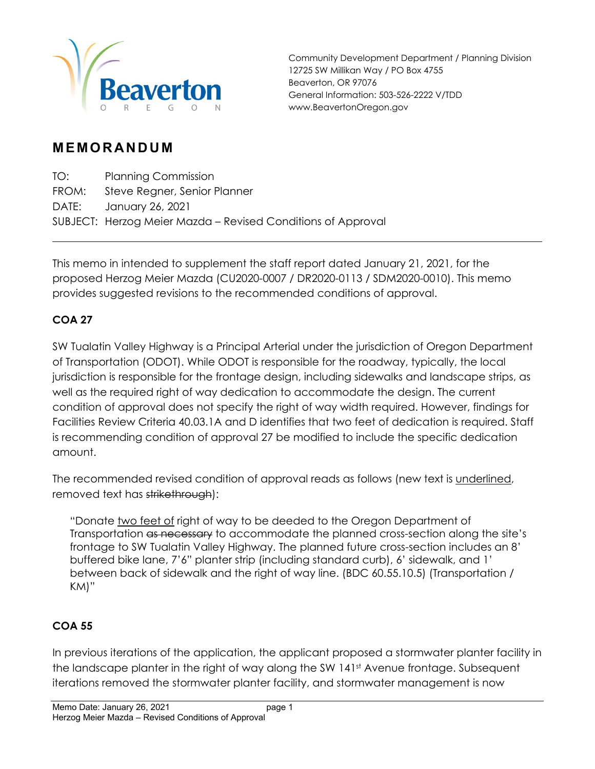

Community Development Department / Planning Division 12725 SW Millikan Way / PO Box 4755 Beaverton, OR 97076 General Information: 503-526-2222 V/TDD www.BeavertonOregon.gov

## **MEMORANDUM**

TO: Planning Commission FROM: Steve Regner, Senior Planner DATE: January 26, 2021 SUBJECT: Herzog Meier Mazda – Revised Conditions of Approval

This memo in intended to supplement the staff report dated January 21, 2021, for the proposed Herzog Meier Mazda (CU2020-0007 / DR2020-0113 / SDM2020-0010). This memo provides suggested revisions to the recommended conditions of approval.

## **COA 27**

SW Tualatin Valley Highway is a Principal Arterial under the jurisdiction of Oregon Department of Transportation (ODOT). While ODOT is responsible for the roadway, typically, the local jurisdiction is responsible for the frontage design, including sidewalks and landscape strips, as well as the required right of way dedication to accommodate the design. The current condition of approval does not specify the right of way width required. However, findings for Facilities Review Criteria 40.03.1A and D identifies that two feet of dedication is required. Staff is recommending condition of approval 27 be modified to include the specific dedication amount.

The recommended revised condition of approval reads as follows (new text is underlined, removed text has strikethrough):

"Donate two feet of right of way to be deeded to the Oregon Department of Transportation as necessary to accommodate the planned cross-section along the site's frontage to SW Tualatin Valley Highway. The planned future cross-section includes an 8' buffered bike lane, 7'6" planter strip (including standard curb), 6' sidewalk, and 1' between back of sidewalk and the right of way line. (BDC 60.55.10.5) (Transportation / KM)"

## **COA 55**

In previous iterations of the application, the applicant proposed a stormwater planter facility in the landscape planter in the right of way along the SW 141st Avenue frontage. Subsequent iterations removed the stormwater planter facility, and stormwater management is now